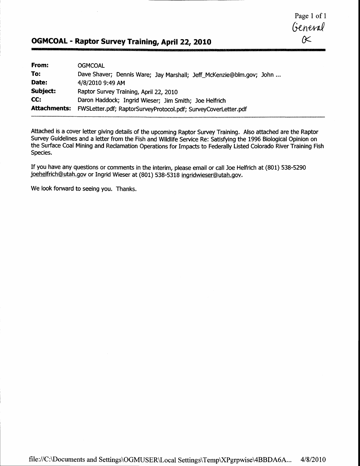Page I of 1  $rac{General}{\alpha}$ 

# OGMCOAL - Raptor Survey Training, April 22, 2010

| From:    | <b>OGMCOAL</b>                                                              |
|----------|-----------------------------------------------------------------------------|
| To:      | Dave Shaver; Dennis Ware; Jay Marshall; Jeff_McKenzie@blm.gov; John         |
| Date:    | 4/8/2010 9:49 AM                                                            |
| Subject: | Raptor Survey Training, April 22, 2010                                      |
| CC:      | Daron Haddock; Ingrid Wieser; Jim Smith; Joe Helfrich                       |
|          | Attachments: FWSLetter.pdf; RaptorSurveyProtocol.pdf; SurveyCoverLetter.pdf |

Attached is a cover letter giving details of the upcoming Raptor Survey Training. Also attached are the Raptor Survey Guidelines and a letter from the Fish and Wildlife Service Re: Satisfying the 1996 Biological Opinion on the Surface Coal Mining and Reclamation Operations for Impacts to Federally Listed Colorado River Training Fish Species.

If you have any questions or comments in the interim, please email or call Joe Helfrich at (801) 538-5290 joehelfrich@utah.gov or Ingrid Wieser at (801) 538-5318 ingridwieser@utah.gov.

We look forward to seeing you. Thanks.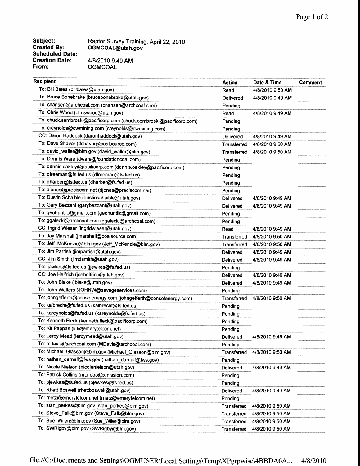Subject: Created By: Scheduled Date: Creation Date: From:

Raptor Survey Training, April ZZ,2O1O OGMCOAL@utah.gov 41812010 9:49 AM **OGMCOAL** 

| <b>Recipient</b>                                                    | <b>Action</b> | Date & Time      | <b>Comment</b> |
|---------------------------------------------------------------------|---------------|------------------|----------------|
| To: Bill Bates (billbates@utah.gov)                                 | Read          | 4/8/2010 9:50 AM |                |
| To: Bruce Bonebrake (brucebonebrake@utah.gov)                       | Delivered     | 4/8/2010 9:49 AM |                |
| To: chansen@archcoal.com (chansen@archcoal.com)                     | Pending       |                  |                |
| To: Chris Wood (chriswood@utah.gov)                                 | Read          | 4/8/2010 9:49 AM |                |
| To: chuck.sembroski@pacificorp.com (chuck.sembroski@pacificorp.com) | Pending       |                  |                |
| To: creynolds@cwmining.com (creynolds@cwmining.com)                 | Pending       |                  |                |
| CC: Daron Haddock (daronhaddock@utah.gov)                           | Delivered     | 4/8/2010 9:49 AM |                |
| To: Dave Shaver (dshaver@coalsource.com)                            | Transferred   | 4/8/2010 9:50 AM |                |
| To: david_waller@blm.gov (david_waller@blm.gov)                     | Transferred   | 4/8/2010 9:50 AM |                |
| To: Dennis Ware (dware@foundationcoal.com)                          | Pending       |                  |                |
| To: dennis.oakley@pacificorp.com (dennis.oakley@pacificorp.com)     | Pending       |                  |                |
| To: dfreeman@fs.fed.us (dfreeman@fs.fed.us)                         | Pending       |                  |                |
| To: dharber@fs.fed.us (dharber@fs.fed.us)                           | Pending       |                  |                |
| To: djones@preciscom.net (djones@preciscom.net)                     | Pending       |                  |                |
| To: Dustin Schaible (dustinschaible@utah.gov)                       | Delivered     | 4/8/2010 9:49 AM |                |
| To: Gary Bezzant (garybezzant@utah.gov)                             | Delivered     | 4/8/2010 9:49 AM |                |
| To: geohuntlic@gmail.com (geohuntlic@gmail.com)                     | Pending       |                  |                |
| To: ggalecki@archcoal.com (ggalecki@archcoal.com)                   | Pending       |                  |                |
| CC: Ingrid Wieser (ingridwieser@utah.gov)                           | Read          | 4/8/2010 9:49 AM |                |
| To: Jay Marshall (jmarshall@coalsource.com)                         | Transferred   | 4/8/2010 9:50 AM |                |
| To: Jeff_McKenzie@blm.gov (Jeff_McKenzie@blm.gov)                   | Transferred   | 4/8/2010 9:50 AM |                |
| To: Jim Parrish (jimparrish@utah.gov)                               | Delivered     | 4/8/2010 9:49 AM |                |
| CC: Jim Smith (jimdsmith@utah.gov)                                  | Delivered     | 4/8/2010 9:49 AM |                |
| To: jjewkes@fs.fed.us (jjewkes@fs.fed.us)                           | Pending       |                  |                |
| CC: Joe Helfrich (joehelfrich@utah.gov)                             | Delivered     | 4/8/2010 9:49 AM |                |
| To: John Blake (jblake@utah.gov)                                    | Delivered     | 4/8/2010 9:49 AM |                |
| To: John Walters (JOHNW@savageservices.com)                         | Pending       |                  |                |
| To: johngefferth@consolenergy.com (johngefferth@consolenergy.com)   | Transferred   | 4/8/2010 9:50 AM |                |
| To: kalbrecht@fs.fed.us (kalbrecht@fs.fed.us)                       | Pending       |                  |                |
| To: kareynolds@fs.fed.us (kareynolds@fs.fed.us)                     | Pending       |                  |                |
| To: Kenneth Fleck (kenneth.fleck@pacificorp.com)                    | Pending       |                  |                |
| To: Kit Pappas (kit@emerytelcom.net)                                | Pending       |                  |                |
| To: Leroy Mead (leroymead@utah.gov)                                 | Delivered     | 4/8/2010 9:49 AM |                |
| To: mdavis@archcoal.com (MDavis@archcoal.com)                       | Pending       |                  |                |
| To: Michael_Glasson@blm.gov (Michael_Glasson@blm.gov)               | Transferred   | 4/8/2010 9:50 AM |                |
| To: nathan_darnall@fws.gov (nathan_darnall@fws.gov)                 | Pending       |                  |                |
| To: Nicole Nielson (nicolenielson@utah.gov)                         | Delivered     | 4/8/2010 9:49 AM |                |
| To: Patrick Collins (mt.nebo@xmission.com)                          | Pending       |                  |                |
| To: pjewkes@fs.fed.us (pjewkes@fs.fed.us)                           | Pending       |                  |                |
| To: Rhett Boswell (rhettboswell@utah.gov)                           | Delivered     | 4/8/2010 9:49 AM |                |
| To: rnetz@emerytelcom.net (rnetz@emerytelcom.net)                   | Pending       |                  |                |
| To: stan_perkes@blm.gov (stan_perkes@blm.gov)                       | Transferred   | 4/8/2010 9:50 AM |                |
| To: Steve_Falk@blm.gov (Steve_Falk@blm.gov)                         | Transferred   | 4/8/2010 9:50 AM |                |
| To: Sue_Wiler@blm.gov (Sue_Wiler@blm.gov)                           | Transferred   | 4/8/2010 9:50 AM |                |
| To: SWRigby@blm.gov (SWRigby@blm.gov)                               | Transferred   | 4/8/2010 9:50 AM |                |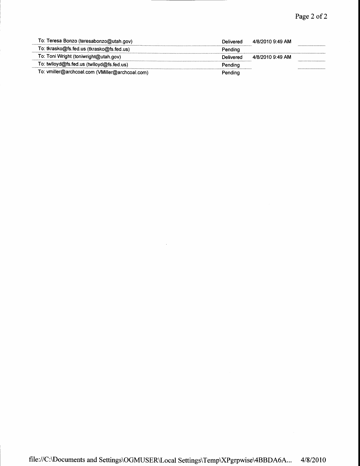| To: Teresa Bonzo (teresabonzo@utah.gov)         | Delivered | 4/8/2010 9:49 AM |  |
|-------------------------------------------------|-----------|------------------|--|
| To: tkrasko@fs.fed.us (tkrasko@fs.fed.us)       | Pendina   |                  |  |
| To: Toni Wright (toniwright@utah.gov)           | Delivered | 4/8/2010 9:49 AM |  |
| To: twiloyd@fs.fed.us (twiloyd@fs.fed.us)       | Pendina   |                  |  |
| To: vmiller@archcoal.com (VMiller@archcoal.com) | Pendina   |                  |  |

 $\sim 10^{-1}$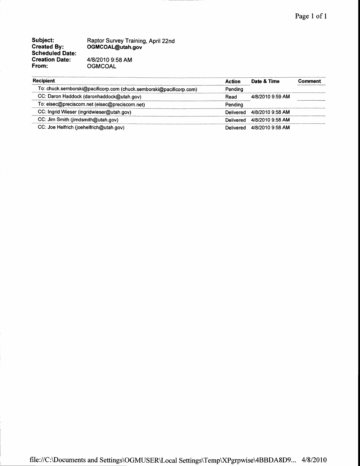Subject: Created By: Scheduled Date: Creation Date: From:

Raptor Survey Training, April 22nd OGMCOAL@utah.gov 41812010 9:58 AM **OGMCOAL** 

| <b>Recipient</b>                                                    | Action  | Date & Time                | Comment |
|---------------------------------------------------------------------|---------|----------------------------|---------|
| To: chuck.semborski@pacificorp.com (chuck.semborski@pacificorp.com) | Pending |                            |         |
| CC: Daron Haddock (daronhaddock@utah.gov)                           | Read    | 4/8/2010 9:59 AM           |         |
| To: eisec@preciscom.net (eisec@preciscom.net)                       | Pendina |                            |         |
| CC: Ingrid Wieser (ingridwieser@utah.gov)                           |         | Delivered 4/8/2010 9:58 AM |         |
| CC: Jim Smith (jimdsmith@utah.gov)                                  |         | Delivered 4/8/2010 9:58 AM |         |
| CC: Joe Helfrich (joehelfrich@utah.gov)                             |         | Delivered 4/8/2010 9:58 AM |         |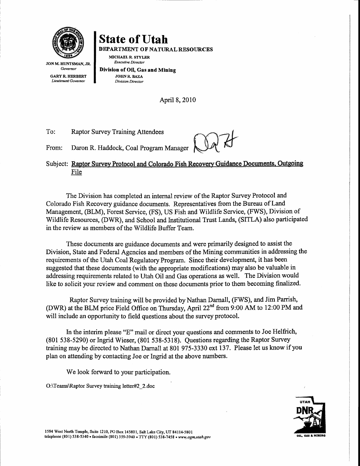

**GARY R. HERBERT** Lieutenant Governor

**State of Utah** DEPARTMENT OF NATURAL RESOURCES

JON M. HUNTSMAN, JR. Govemor MICHAEL R. STYLER Executive Director

Division of OiI, Gas and Mining JOHN R. BAZA Division Director

April 8, 2010

To: Raptor Survey Training Attendees

From: Daron R. Haddock, Coal Program Manager

 $\parallel$  ()  $\llap{$\phantom{a} \quad \quad}$ tr

Subject: Raptor Survey Protocol and Colorado Fish Recovery Guidance Documents, Outgoing File

The Division has completed an internal review of the Raptor Survey Protocol and Colorado Fish Recovery guidance documents. Representatives from the Bureau of Land Management, @LM), Forest Service, (FS), US Fish and Wildlife Service, (FWS), Division of Wildlife Resources, (DWR), and School and Institutional Trust Lands, (SITLA) also participated in the review as members of the Wildlife Buffer Team.

These documents are guidance documents and were primarily designed to assist the Division, State and Federal Agencies and members of the Mining communities in addressing the requirements of the Utah Coal Regulatory Program. Since their development, it has been suggested that these documents (with the appropriate modifications) may also be valuable in addressing requirements related to Utah Oil and Gas operations as well. The Division would like to solicit your review and comment on these documents prior to them becoming finalized.

Raptor Survey training will be provided by Nathan Darnall, (FWS), and Jim Parrish, (DWR) at the BLM price Field Office on Thursday, April 22<sup>nd</sup> from 9:00 AM to 12:00 PM and will include an opportunity to field questions about the survey protocol.

hr the interim please "E" mail or direct your questions and comments to Joe Helfrich, (801 538-5290) or Ingrid Wieser, (801 538-5318). Questions regarding the Raptor Survey training may be directed to Nathan Darnall at 801 975-3330 ext 137. Please let us know if you plan on attending by contacting Joe or Ingrid at the above numbers.

We look forward to your participation.

O:\Teams\Raptor Survey training letter#2 Z.doc ,



1594 west North remple, suite 1210, Po Box 145801, salt Lake city, ur 84114-5s01 telephone (801) 538-5340 . facsimile (801) 359-3940 . TTY (801) 538-7458 . uww.ogm.utah.gov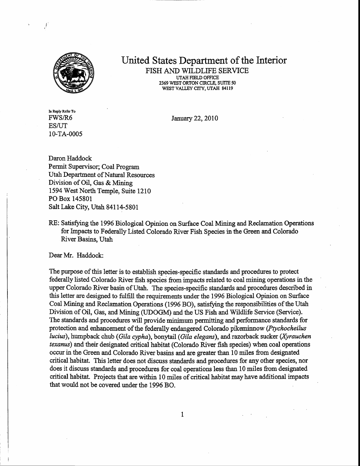

## United States Department of the Interior FISH AND WILDLIFE SERVICE UTAH FIELD OFFICE

2369 WEST ORTON CIRCLE, SUITE 50 WEST VALLEY CITY, UTAH 84119

In Reply Refer To FWS/R6 **ES/UT** 10-TA-000s

January 22,2010

Daron Haddock Permit Supervisor; Coal Program Utah Deparfinent of Natural Resources Division of Oil, Gas & Mining 1594 West North Temple, Suite 1210 PO Box 145801 Salt Lake City, Utah 84114-5801

RE: Satisfying the 1996 Biological Opinion on Surface Coal Mining and Reclamation Operations for Impacts to Federally Listed Colorado River Fish Species in the Green and Colorado River Basins, Utah

Dear Mr. Haddock:

The purpose of this letter is to establish species-specific standards and procedures to protect federally listed Colorado River fish species from impacts related to coal mining operations in the upper Colorado River basin of Utah. The species-specific standards and procedues described in this letter are designed to fulfiII the requirements under the L996 Biological Opinion on Surface CoaI Mining and Reclamation Operations (1996 BO), satisfying the responsibilities of the Utah Division of Oil, Gas, and Mining (UDOGM) and the US Fish and Wildlife Service (Service). The standards and procedues will provide minimum permitting and performance standards for protection and enhancement of the federally endangered Colorado pikeminnow (Ptychocheilus lucius), humpback chub (Gila cypha), bonytail (Gila elegans), and razorback sucker (Xyrauchen texanus) and their designated critical habitat (Colorado River fish species) when coal operations occur in the Green and Colorado River basins and are greater than 10 miles from designated critical habitat. This letter does not discuss standards and procedures for any other qpecies, nor does it discuss standards and procedures for coal operations less than 10 miles from designated critical habitat. Projects that are within 10 miles of critical habitat may have additional impacts that would not be covered under the 1996 BO.

 $\mathbf{1}$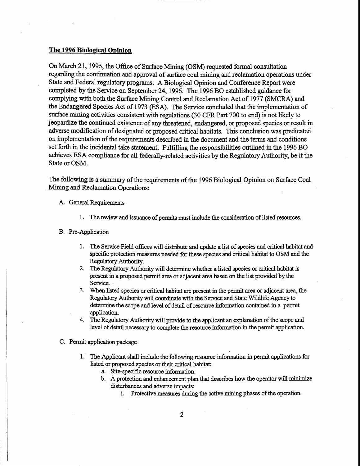## The 1996 Biological Opinion

On March 21., 1995, the Office of Surface Mining (OSM) requested fonnal consultation regarding the continuation and approval of surface coal mining and reclamation operations under State and Federal regulatory programs. A Biological Opinion and Conference Report were completed by the Service on September 24, 1996. The 1996 BO established guidance for complying with both the Surface Mining Control and Reclamation Act of 1977 (SMCRA) and the Endangered Species Act of 1973 (ESA). The Service concluded that the implerrentation of surface mining activities consistent with regulations (30 CFR Part 700 to end) is not likely to jeopardize the continued existence of any threatened, endangered, or proposed species or result in adverse modification of designated or proposed critical habitats. This conclusion was predicated on implementation of the requirements described in the document and the terms and conditions set forth in the incidental take statement. Fulfilling the responsibilities outlined in the 1996 BO achieves ESA compliance for all federally-related activities by the Regulatory Authority, be it the State or OSM.

The following is a summary of the requirements of the 1996 Biological Opinion on Surface Coal Mining and Reclamation Operations:

- A. General Requirements
	- 1. The review and issuance of permits must include the consideration of listed resources.

#### B. Pre-Application

- 1. The Service Field offices will distribute and update a list of species and critical habitat and specific protection measures needed for these species and critical habitat to OSM and the Regulatory Authority.
- 2. The Regulatory Authority will determine whether a listed species or critical habitat is present in a proposed perneit area or adjacent area based on the list provided by the Service. .
- 3. When listed species or critical habitat are present in the permit area or adjacent area, the Regulatory Authority will coordinate with the Service and State Wildlife Agency to determine the scope and level of detail of resource information contained in a permit application.
- 4. The Regulatory Authority will provide to the applicant an explanation of the scope and level of detail necessary to complete the resource information in the permit application.
- C. Permit application package
	- 1. The Applicant shall include the following resource information in permit applications for listed or proposed species or their critical habitat:
		- a. Site-specific resource information.
		- b. A protection and enhancement plan that describes how the operator will minimize disturbances and adverse impacts:
			- i. Protective measures during the active mining phases of the operation.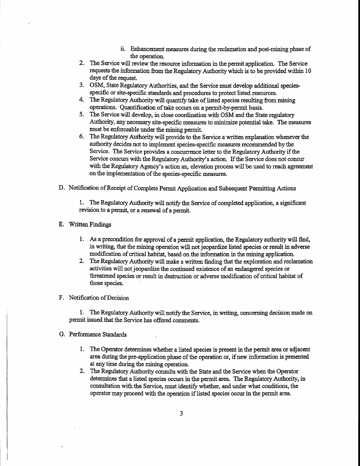- ii. Enhancement measures during the reclamation and post-mining phase of the operation.
- 2. The Service will review the resource information in the permit application. The Service requests the infonnation from the Regulatory Authority which is to be provided within 10 days of the request.
- 3. OSM, State Regulatory Authorities, and the Service must develop additional speciesspecific or site-specific standards and procedures to protect listed resources.
- The Regulatory Authority will quantify take of listed species resulting from mining 4. operations. Quantification of take occurs on a permit-by-permit basis.
- 5. The Service will develop, in close coordination with OSM and the State regulatory Authority, any necessary site-specific measures to minimize potential take. The measures must be enforceable under the mining permit.
- The Regulatory Authority will provide to the Service a written explanation whenever the 6. authority decides not to implement species-specific measures recommended bythe Service. The Seryice provides a concurrence letter to the Regulatory Authority if the Service concurs with the Regulatory Authority's action. If the Service does not concur with the Regulatory Agency's action an, elevation process will be used to reach agreement on the implementation of the species-specific measures.
- D. Notification of Receipt of Complete Permit Application and Subsequent Permitting Actions

1. The Regulatory Authority will notify the Service of completed application, a significant revision to apermit, or a renewal of a permit.

## E. Written Findings

- 1. As a precondition for approval of a permit application, the Regulatory authority will find, in writing, that the mining operation will not jeopardize listed species or result in adverse modifisaden of critical habitat, based on the information in the mining application.
- The Regulatory Authority will make a written finding that the exploration and reclamation activities will not jeopardize the continued existence of an endangered species or threatened species or result in destruction or adverse modification of critical habitat of those species.

## F. Notification of Decision

1. The Regulatory Authority will notify the Service, in writing, concerning decision made on permit issued that the Service has offered comments.

#### G. Performance Standards

- 1. The Operator determines whether a listed species is present in the permit area or adjacent area during the pre-application phase of the operation or, if new information is presented at any time during the mining operation.
- The Regulatory Authority consults with the State and the Service when the Operator determines that a listed species occurs in the permit area. The Regulatory Authority, in consultation with the Service, must identify whether, and under what conditions, the operator may proceed with the operation if listed species occur in the permit area.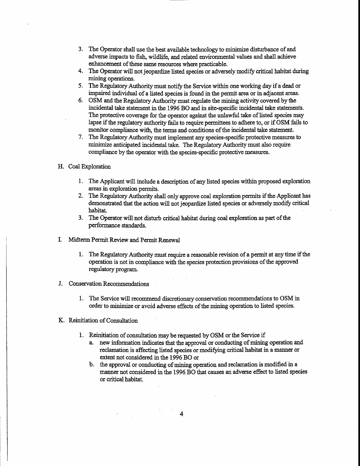- 3. The Operator shall use the best available technology to minimizs disturbance of and adverse impacts to fish, wildlife, and related environmental values and shall achieve enhancement of these same resources where practicable.
- 4. The Operator will not jeopardize listed species or adversely modify critical habitat during mining operations.
- 5. The Regulatory Authority must notify the Service within one working day if a dead or impaired individual of a listed species is found in the permit area or in adjacent areas.
- 6. OSM and the Regulatory Authority must regulate the mining activity covered by the incidental take statement in the 1996 BO and in site-specific incidental take statements. The protective coverage for the operator against the unlawful take of listed species may lapse if the regulatory authority fails to require permittees to adhere to, or if OSM fails to monitor compliance with, the terms and conditions of the incidental take statement.
- 7 . The Regulatory Authority must implement any species-specific protective measures to minimizs anticipated incidental take. The Regulatory Authorify must also require compliance by the operator with the species-specific protective measures.
- H. Coal Exploration
	- 1. The Applicant will include a description of any listed species withinproposed exploration areas in exploration permits.
	- 2. The Regulatory Authority shall only approve coal exploration permits if the Applicant has demonstrated that the action will not jeopardize listed species or adversely modify critical habitat.
	- 3. The Operator will not disturb critical habitat during coal exploration as part of the performance standards.
- I. Midterm Permit Review and Permit Renewal
	- l. The Regulatory Authority must require a reasonable revision of a permit at any time if the operation is not in compliance with the species protection provisions of the approved regulatory program.
- Conservation Recommendations J.
	- 1. The Service will recommend discretionary conservation recommendations to OSM in order to minimize or avoid adverse effects of the mining operation to listed species.
- Reinitiation of Consultation
	- 1. Reinitiation of consultation may be requested by OSM or the Service if
		- a. new information indicates that the approval or conducting of mining operation and reclamation is affecting listed species or modifying critical habitat in a manner or extent not considered in the 1996 BO or
		- b. the approval or conducting of mining operation and reclamation is modified in a manner not considered in the 1996 BO that causes an adverse effect to listed species or critical habitat.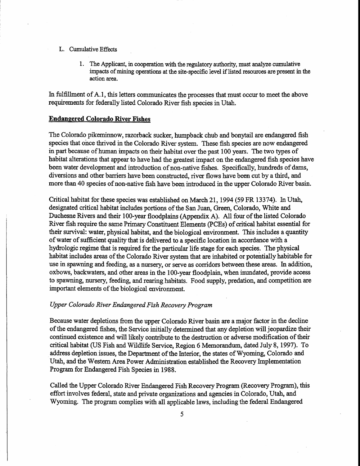## L. Cumulative Effects

1. The Applicant, in cooperation with the regulatory authority, must analyze cumulative impacts of mining operations at the site-specific level if listed resources are present in the action area.

In fulfillment of A.1, this letters communicates the processes that must occur to meet the above requirements for federally listed Colorado River fish species in Utah.

## **Endangered Colorado River Fishes**

The Colorado pikeminnow, razorback sucker, humpback chub and bonytail are endangered fish species that once thrived in the Colorado River system. These fish species are now endangered in part because of human impacts on their habitat over the past 100 years. The two types of habitat alterations that appear to have had the greatest impact on the endangered fish species have been water development and introduction of non-native fishes. Specifically, hundreds of dams, diversions and other barriers have been constructed, river flows have been cut by a third, and more than 40 species of non-native fish have been introduced in the upper Colorado River basin.

Critical habitat for these species was established on March 21, 1994 (59 FR 13374). In Utah, designated critical habitat includes portions of the San Juan, Green, Colorado, White and Duchesne Rivers and their 100-year floodplains (Appendix A). All four of the listed Colorado River fish require the same Primary Constituent Elements (PCEs) of critical habitat essential for their survival: water, physical habitat, and the biological environment. This includes a quantity of water of sufficient quality that is delivered to a specific location in accordance with a hydrologic regime that is required for the particular life stage for each species.. The physical habitat includes areas of the Colorado River system that are inhabited or potentially habitable for use in spawning and feeding, as a nursery, or serve as corridors between these areas. In addition, oxbows, backwaters, and other areas in the 100-year floodplain, when inundated, provide access to spawning, nursery, feeding, and rearing habitats. Food supply, predation, and competition are important elements of the biological environment.

## Upper Colorado River Endangered Fish Recovery Program

Because water depletions from the upper Colorado River basin are amajor factor in the decline of the endangered fishes, the Service initially determined that any depletion will jeopardize their continued existence and will likely contribute to the destruction or adverse modification of their critical habitat (US Fish and Wildlife Service, Region 6 Memorandum, dated July 8, L997). To address depletion issues, the Department of the Interior, the states of Wyoming, Colorado and Utah, and the Western Area Power Administration established the Recovery Implementation Program for Endangered Fish Species in 1988.

Called the Upper Colorado River Endangered Fish Recovery Progrann (Recovery Program), this effort involves federal, state and private organizations and agencies in Colorado, Utah, and Wyoming. The program complies with all applicable laws, including the federal Endangered